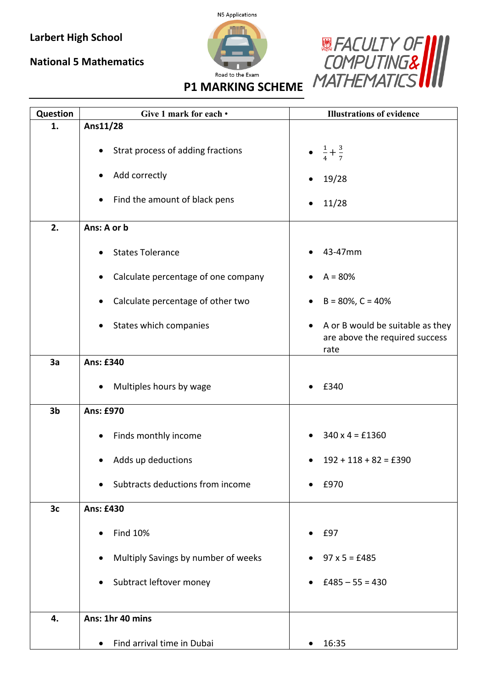## **Larbert High School**

## **National 5 Mathematics**





**P1 MARKING SCHEME**

| Question       | Give 1 mark for each •                           | <b>Illustrations of evidence</b>                                                        |
|----------------|--------------------------------------------------|-----------------------------------------------------------------------------------------|
| 1.             | Ans11/28                                         |                                                                                         |
|                | Strat process of adding fractions                | $\frac{1}{4} + \frac{3}{7}$                                                             |
|                | Add correctly                                    | 19/28                                                                                   |
|                | Find the amount of black pens<br>$\bullet$       | 11/28                                                                                   |
| 2.             | Ans: A or b                                      |                                                                                         |
|                | <b>States Tolerance</b>                          | 43-47mm                                                                                 |
|                | Calculate percentage of one company              | $A = 80%$                                                                               |
|                | Calculate percentage of other two                | $B = 80\%$ , $C = 40\%$                                                                 |
|                | States which companies                           | A or B would be suitable as they<br>$\bullet$<br>are above the required success<br>rate |
| 3a             | <b>Ans: £340</b>                                 |                                                                                         |
|                | Multiples hours by wage<br>$\bullet$             | £340                                                                                    |
| 3 <sub>b</sub> | <b>Ans: £970</b>                                 |                                                                                         |
|                | Finds monthly income                             | $340 \times 4 = £1360$                                                                  |
|                | Adds up deductions                               | $192 + 118 + 82 = £390$                                                                 |
|                | Subtracts deductions from income<br>$\bullet$    | £970                                                                                    |
| 3c             | <b>Ans: £430</b>                                 |                                                                                         |
|                | <b>Find 10%</b>                                  | £97                                                                                     |
|                | Multiply Savings by number of weeks<br>$\bullet$ | $97 \times 5 = £485$                                                                    |
|                | Subtract leftover money<br>$\bullet$             | $£485 - 55 = 430$                                                                       |
| 4.             | Ans: 1hr 40 mins                                 |                                                                                         |
|                |                                                  |                                                                                         |
|                | Find arrival time in Dubai<br>$\bullet$          | 16:35<br>$\bullet$                                                                      |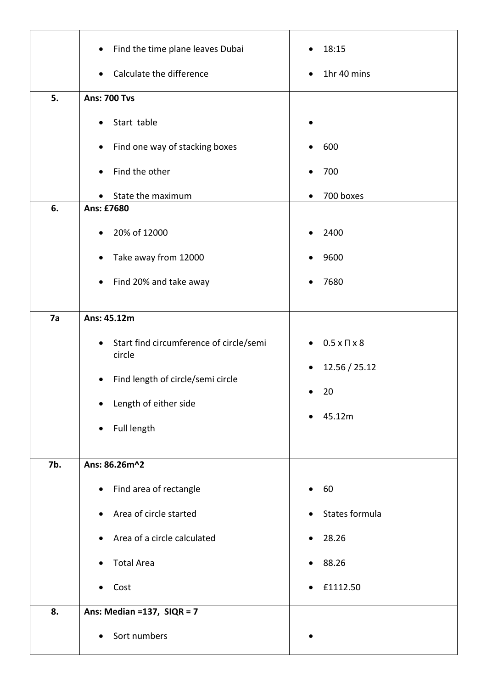|     | Find the time plane leaves Dubai<br>$\bullet$                  | 18:15                                                                |
|-----|----------------------------------------------------------------|----------------------------------------------------------------------|
|     | Calculate the difference<br>$\bullet$                          | 1hr 40 mins<br>$\bullet$                                             |
| 5.  | <b>Ans: 700 Tvs</b>                                            |                                                                      |
|     | Start table<br>$\bullet$                                       | $\bullet$                                                            |
|     | Find one way of stacking boxes<br>$\bullet$                    | 600                                                                  |
|     | Find the other<br>$\bullet$                                    | 700<br>$\bullet$                                                     |
|     | State the maximum<br>$\bullet$                                 | 700 boxes<br>$\bullet$                                               |
| 6.  | Ans: £7680                                                     |                                                                      |
|     | 20% of 12000<br>$\bullet$                                      | 2400                                                                 |
|     | Take away from 12000<br>$\bullet$                              | 9600<br>$\bullet$                                                    |
|     | Find 20% and take away<br>$\bullet$                            | 7680                                                                 |
| 7a  | Ans: 45.12m                                                    |                                                                      |
|     | Start find circumference of circle/semi<br>$\bullet$<br>circle | $0.5 \times \Pi \times 8$<br>$\bullet$<br>12.56 / 25.12<br>$\bullet$ |
|     | Find length of circle/semi circle<br>$\bullet$                 |                                                                      |
|     | Length of either side<br>$\bullet$                             | 20                                                                   |
|     | Full length<br>$\bullet$                                       | 45.12m<br>$\bullet$                                                  |
| 7b. | Ans: 86.26m^2                                                  |                                                                      |
|     | Find area of rectangle<br>$\bullet$                            | 60<br>$\bullet$                                                      |
|     | Area of circle started<br>$\bullet$                            | States formula                                                       |
|     | Area of a circle calculated<br>$\bullet$                       | 28.26<br>$\bullet$                                                   |
|     | <b>Total Area</b>                                              | 88.26                                                                |
|     | Cost<br>$\bullet$                                              | £1112.50<br>$\bullet$                                                |
| 8.  | Ans: Median = $137$ , SIQR = $7$                               |                                                                      |
|     | Sort numbers<br>$\bullet$                                      |                                                                      |